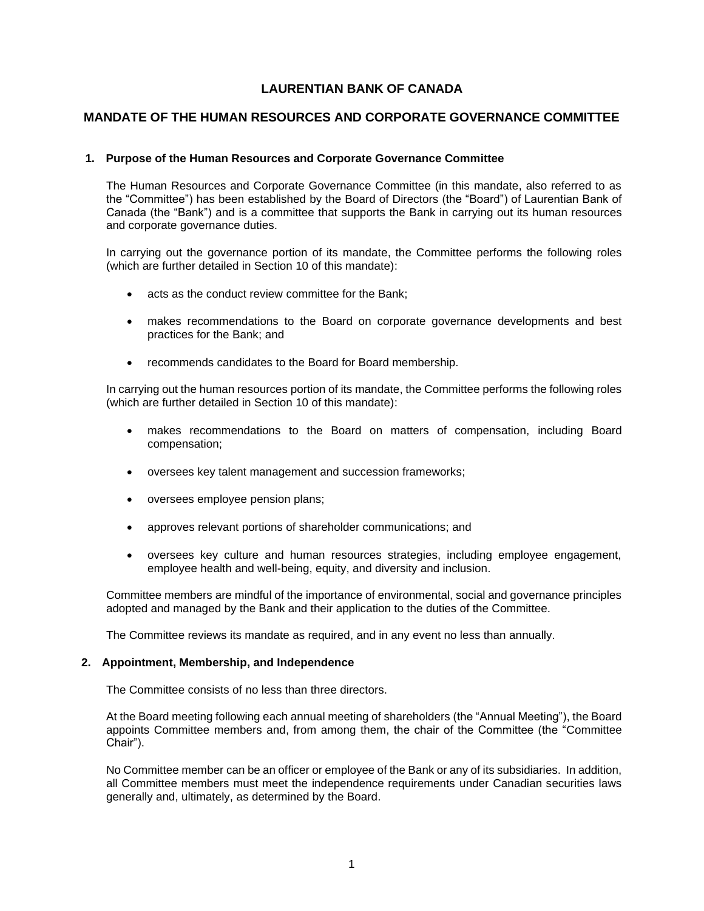# **LAURENTIAN BANK OF CANADA**

## **MANDATE OF THE HUMAN RESOURCES AND CORPORATE GOVERNANCE COMMITTEE**

## **1. Purpose of the Human Resources and Corporate Governance Committee**

The Human Resources and Corporate Governance Committee (in this mandate, also referred to as the "Committee") has been established by the Board of Directors (the "Board") of Laurentian Bank of Canada (the "Bank") and is a committee that supports the Bank in carrying out its human resources and corporate governance duties.

In carrying out the governance portion of its mandate, the Committee performs the following roles (which are further detailed in Section 10 of this mandate):

- acts as the conduct review committee for the Bank;
- makes recommendations to the Board on corporate governance developments and best practices for the Bank; and
- recommends candidates to the Board for Board membership.

In carrying out the human resources portion of its mandate, the Committee performs the following roles (which are further detailed in Section 10 of this mandate):

- makes recommendations to the Board on matters of compensation, including Board compensation;
- oversees key talent management and succession frameworks;
- oversees employee pension plans;
- approves relevant portions of shareholder communications; and
- oversees key culture and human resources strategies, including employee engagement, employee health and well-being, equity, and diversity and inclusion.

Committee members are mindful of the importance of environmental, social and governance principles adopted and managed by the Bank and their application to the duties of the Committee.

The Committee reviews its mandate as required, and in any event no less than annually.

### **2. Appointment, Membership, and Independence**

The Committee consists of no less than three directors.

At the Board meeting following each annual meeting of shareholders (the "Annual Meeting"), the Board appoints Committee members and, from among them, the chair of the Committee (the "Committee Chair").

No Committee member can be an officer or employee of the Bank or any of its subsidiaries. In addition, all Committee members must meet the independence requirements under Canadian securities laws generally and, ultimately, as determined by the Board.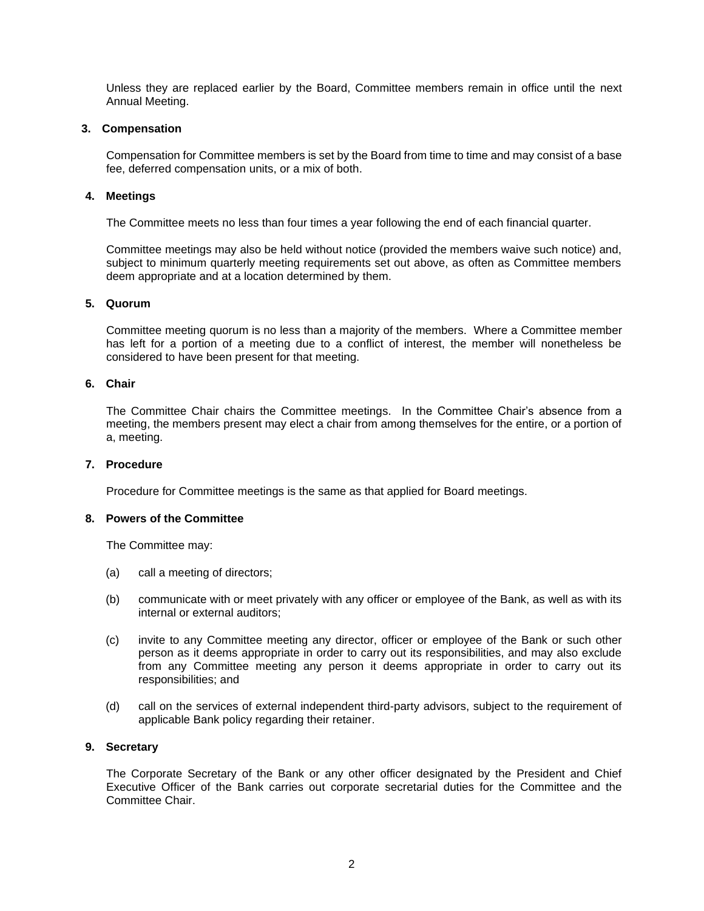Unless they are replaced earlier by the Board, Committee members remain in office until the next Annual Meeting.

### **3. Compensation**

Compensation for Committee members is set by the Board from time to time and may consist of a base fee, deferred compensation units, or a mix of both.

### **4. Meetings**

The Committee meets no less than four times a year following the end of each financial quarter.

Committee meetings may also be held without notice (provided the members waive such notice) and, subject to minimum quarterly meeting requirements set out above, as often as Committee members deem appropriate and at a location determined by them.

## **5. Quorum**

Committee meeting quorum is no less than a majority of the members. Where a Committee member has left for a portion of a meeting due to a conflict of interest, the member will nonetheless be considered to have been present for that meeting.

### **6. Chair**

The Committee Chair chairs the Committee meetings. In the Committee Chair's absence from a meeting, the members present may elect a chair from among themselves for the entire, or a portion of a, meeting.

#### **7. Procedure**

Procedure for Committee meetings is the same as that applied for Board meetings.

## **8. Powers of the Committee**

The Committee may:

- (a) call a meeting of directors;
- (b) communicate with or meet privately with any officer or employee of the Bank, as well as with its internal or external auditors;
- (c) invite to any Committee meeting any director, officer or employee of the Bank or such other person as it deems appropriate in order to carry out its responsibilities, and may also exclude from any Committee meeting any person it deems appropriate in order to carry out its responsibilities; and
- (d) call on the services of external independent third-party advisors, subject to the requirement of applicable Bank policy regarding their retainer.

### **9. Secretary**

The Corporate Secretary of the Bank or any other officer designated by the President and Chief Executive Officer of the Bank carries out corporate secretarial duties for the Committee and the Committee Chair.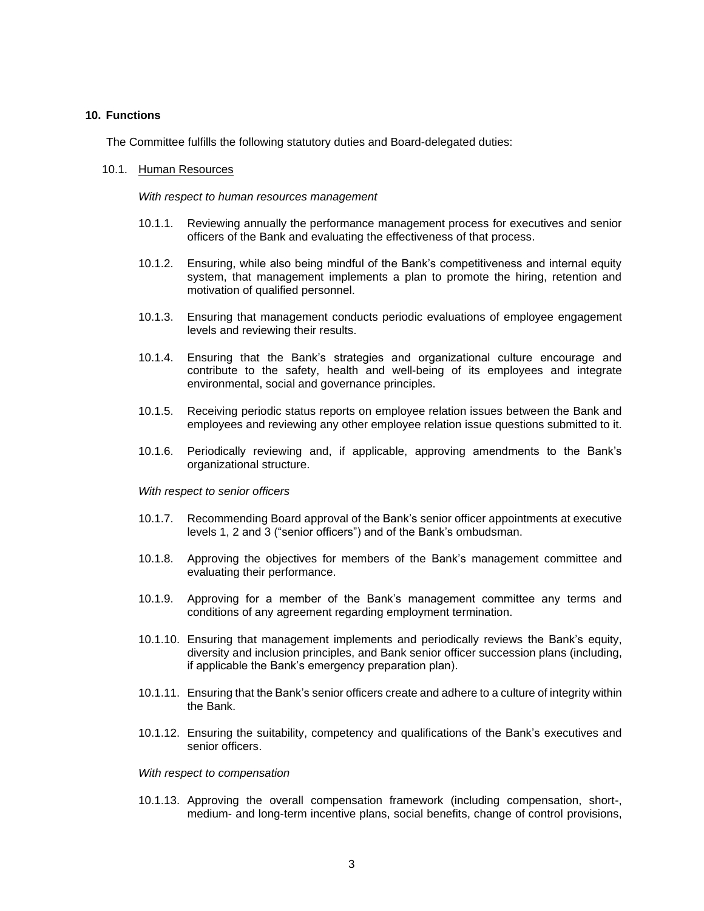### **10. Functions**

The Committee fulfills the following statutory duties and Board-delegated duties:

#### 10.1. Human Resources

*With respect to human resources management*

- 10.1.1. Reviewing annually the performance management process for executives and senior officers of the Bank and evaluating the effectiveness of that process.
- 10.1.2. Ensuring, while also being mindful of the Bank's competitiveness and internal equity system, that management implements a plan to promote the hiring, retention and motivation of qualified personnel.
- 10.1.3. Ensuring that management conducts periodic evaluations of employee engagement levels and reviewing their results.
- 10.1.4. Ensuring that the Bank's strategies and organizational culture encourage and contribute to the safety, health and well-being of its employees and integrate environmental, social and governance principles.
- 10.1.5. Receiving periodic status reports on employee relation issues between the Bank and employees and reviewing any other employee relation issue questions submitted to it.
- 10.1.6. Periodically reviewing and, if applicable, approving amendments to the Bank's organizational structure.

#### *With respect to senior officers*

- 10.1.7. Recommending Board approval of the Bank's senior officer appointments at executive levels 1, 2 and 3 ("senior officers") and of the Bank's ombudsman.
- 10.1.8. Approving the objectives for members of the Bank's management committee and evaluating their performance.
- 10.1.9. Approving for a member of the Bank's management committee any terms and conditions of any agreement regarding employment termination.
- 10.1.10. Ensuring that management implements and periodically reviews the Bank's equity, diversity and inclusion principles, and Bank senior officer succession plans (including, if applicable the Bank's emergency preparation plan).
- 10.1.11. Ensuring that the Bank's senior officers create and adhere to a culture of integrity within the Bank.
- 10.1.12. Ensuring the suitability, competency and qualifications of the Bank's executives and senior officers.

#### *With respect to compensation*

10.1.13. Approving the overall compensation framework (including compensation, short-, medium- and long-term incentive plans, social benefits, change of control provisions,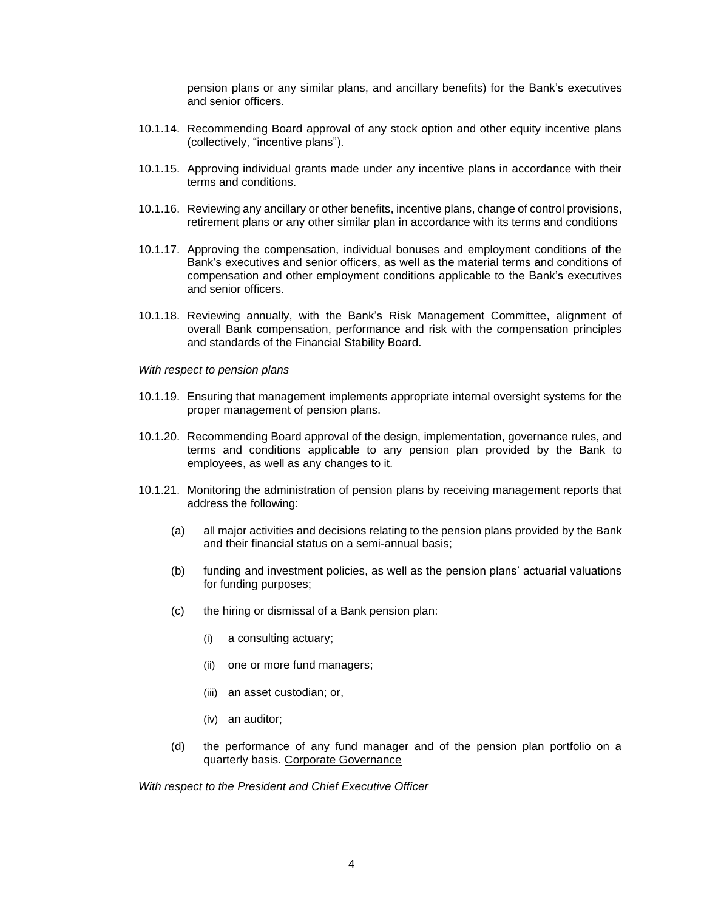pension plans or any similar plans, and ancillary benefits) for the Bank's executives and senior officers.

- 10.1.14. Recommending Board approval of any stock option and other equity incentive plans (collectively, "incentive plans").
- 10.1.15. Approving individual grants made under any incentive plans in accordance with their terms and conditions.
- 10.1.16. Reviewing any ancillary or other benefits, incentive plans, change of control provisions, retirement plans or any other similar plan in accordance with its terms and conditions
- 10.1.17. Approving the compensation, individual bonuses and employment conditions of the Bank's executives and senior officers, as well as the material terms and conditions of compensation and other employment conditions applicable to the Bank's executives and senior officers.
- 10.1.18. Reviewing annually, with the Bank's Risk Management Committee, alignment of overall Bank compensation, performance and risk with the compensation principles and standards of the Financial Stability Board.

*With respect to pension plans*

- 10.1.19. Ensuring that management implements appropriate internal oversight systems for the proper management of pension plans.
- 10.1.20. Recommending Board approval of the design, implementation, governance rules, and terms and conditions applicable to any pension plan provided by the Bank to employees, as well as any changes to it.
- 10.1.21. Monitoring the administration of pension plans by receiving management reports that address the following:
	- (a) all major activities and decisions relating to the pension plans provided by the Bank and their financial status on a semi-annual basis;
	- (b) funding and investment policies, as well as the pension plans' actuarial valuations for funding purposes;
	- (c) the hiring or dismissal of a Bank pension plan:
		- (i) a consulting actuary;
		- (ii) one or more fund managers;
		- (iii) an asset custodian; or,
		- (iv) an auditor;
	- (d) the performance of any fund manager and of the pension plan portfolio on a quarterly basis. Corporate Governance

*With respect to the President and Chief Executive Officer*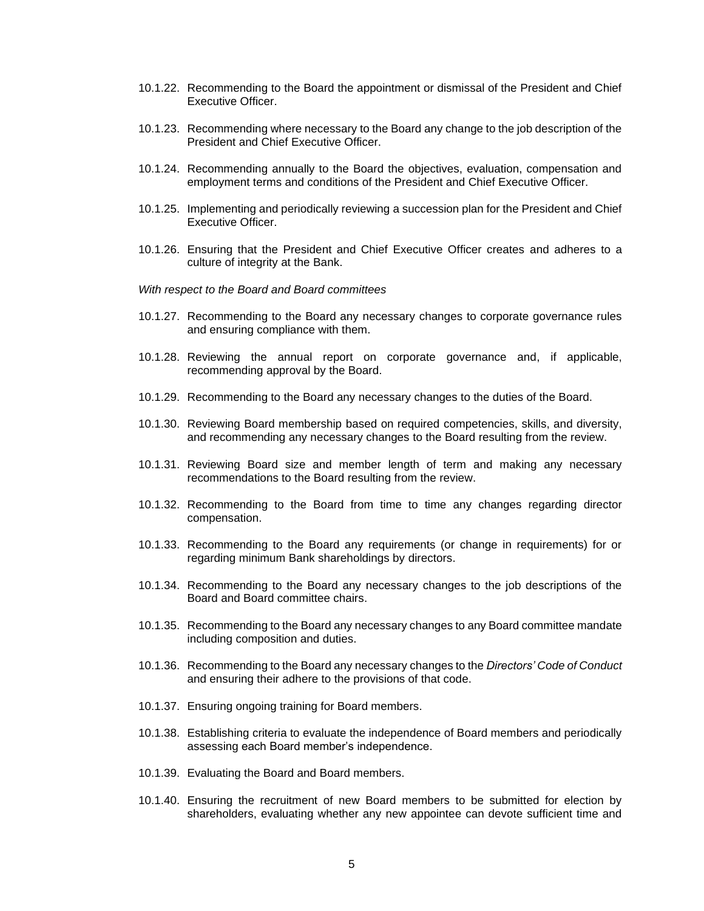- 10.1.22. Recommending to the Board the appointment or dismissal of the President and Chief Executive Officer.
- 10.1.23. Recommending where necessary to the Board any change to the job description of the President and Chief Executive Officer.
- 10.1.24. Recommending annually to the Board the objectives, evaluation, compensation and employment terms and conditions of the President and Chief Executive Officer.
- 10.1.25. Implementing and periodically reviewing a succession plan for the President and Chief Executive Officer.
- 10.1.26. Ensuring that the President and Chief Executive Officer creates and adheres to a culture of integrity at the Bank.

*With respect to the Board and Board committees*

- 10.1.27. Recommending to the Board any necessary changes to corporate governance rules and ensuring compliance with them.
- 10.1.28. Reviewing the annual report on corporate governance and, if applicable, recommending approval by the Board.
- 10.1.29. Recommending to the Board any necessary changes to the duties of the Board.
- 10.1.30. Reviewing Board membership based on required competencies, skills, and diversity, and recommending any necessary changes to the Board resulting from the review.
- 10.1.31. Reviewing Board size and member length of term and making any necessary recommendations to the Board resulting from the review.
- 10.1.32. Recommending to the Board from time to time any changes regarding director compensation.
- 10.1.33. Recommending to the Board any requirements (or change in requirements) for or regarding minimum Bank shareholdings by directors.
- 10.1.34. Recommending to the Board any necessary changes to the job descriptions of the Board and Board committee chairs.
- 10.1.35. Recommending to the Board any necessary changes to any Board committee mandate including composition and duties.
- 10.1.36. Recommending to the Board any necessary changes to the *Directors' Code of Conduct* and ensuring their adhere to the provisions of that code.
- 10.1.37. Ensuring ongoing training for Board members.
- 10.1.38. Establishing criteria to evaluate the independence of Board members and periodically assessing each Board member's independence.
- 10.1.39. Evaluating the Board and Board members.
- 10.1.40. Ensuring the recruitment of new Board members to be submitted for election by shareholders, evaluating whether any new appointee can devote sufficient time and